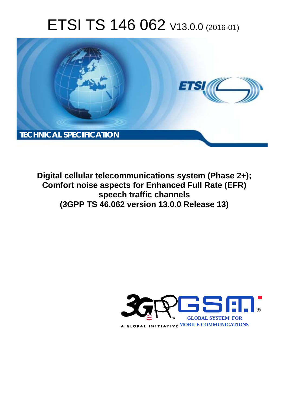# ETSI TS 146 062 V13.0.0 (2016-01)



**Digital cellular telecommunications system (Phase 2+); Comfort noise aspects for Enhanced Full Rate (EFR) spee eech traffic channels (3GPP TS 46.0 .062 version 13.0.0 Release 13 13)** 

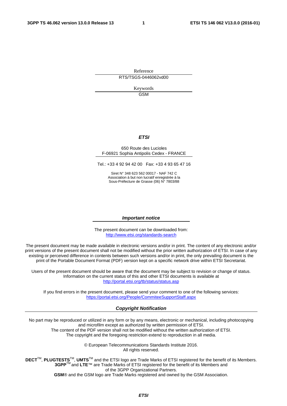Reference RTS/TSGS-0446062vd00

> Keywords **GSM**

#### *ETSI*

#### 650 Route des Lucioles F-06921 Sophia Antipolis Cedex - FRANCE

Tel.: +33 4 92 94 42 00 Fax: +33 4 93 65 47 16

Siret N° 348 623 562 00017 - NAF 742 C Association à but non lucratif enregistrée à la Sous-Préfecture de Grasse (06) N° 7803/88

#### *Important notice*

The present document can be downloaded from: <http://www.etsi.org/standards-search>

The present document may be made available in electronic versions and/or in print. The content of any electronic and/or print versions of the present document shall not be modified without the prior written authorization of ETSI. In case of any existing or perceived difference in contents between such versions and/or in print, the only prevailing document is the print of the Portable Document Format (PDF) version kept on a specific network drive within ETSI Secretariat.

Users of the present document should be aware that the document may be subject to revision or change of status. Information on the current status of this and other ETSI documents is available at <http://portal.etsi.org/tb/status/status.asp>

If you find errors in the present document, please send your comment to one of the following services: <https://portal.etsi.org/People/CommiteeSupportStaff.aspx>

#### *Copyright Notification*

No part may be reproduced or utilized in any form or by any means, electronic or mechanical, including photocopying and microfilm except as authorized by written permission of ETSI.

The content of the PDF version shall not be modified without the written authorization of ETSI. The copyright and the foregoing restriction extend to reproduction in all media.

> © European Telecommunications Standards Institute 2016. All rights reserved.

**DECT**TM, **PLUGTESTS**TM, **UMTS**TM and the ETSI logo are Trade Marks of ETSI registered for the benefit of its Members. **3GPP**TM and **LTE**™ are Trade Marks of ETSI registered for the benefit of its Members and of the 3GPP Organizational Partners.

**GSM**® and the GSM logo are Trade Marks registered and owned by the GSM Association.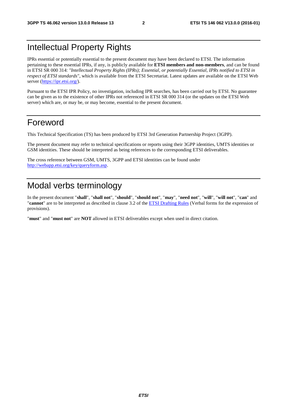# Intellectual Property Rights

IPRs essential or potentially essential to the present document may have been declared to ETSI. The information pertaining to these essential IPRs, if any, is publicly available for **ETSI members and non-members**, and can be found in ETSI SR 000 314: *"Intellectual Property Rights (IPRs); Essential, or potentially Essential, IPRs notified to ETSI in respect of ETSI standards"*, which is available from the ETSI Secretariat. Latest updates are available on the ETSI Web server [\(https://ipr.etsi.org/](https://ipr.etsi.org/)).

Pursuant to the ETSI IPR Policy, no investigation, including IPR searches, has been carried out by ETSI. No guarantee can be given as to the existence of other IPRs not referenced in ETSI SR 000 314 (or the updates on the ETSI Web server) which are, or may be, or may become, essential to the present document.

### Foreword

This Technical Specification (TS) has been produced by ETSI 3rd Generation Partnership Project (3GPP).

The present document may refer to technical specifications or reports using their 3GPP identities, UMTS identities or GSM identities. These should be interpreted as being references to the corresponding ETSI deliverables.

The cross reference between GSM, UMTS, 3GPP and ETSI identities can be found under <http://webapp.etsi.org/key/queryform.asp>.

# Modal verbs terminology

In the present document "**shall**", "**shall not**", "**should**", "**should not**", "**may**", "**need not**", "**will**", "**will not**", "**can**" and "**cannot**" are to be interpreted as described in clause 3.2 of the [ETSI Drafting Rules](http://portal.etsi.org/Help/editHelp!/Howtostart/ETSIDraftingRules.aspx) (Verbal forms for the expression of provisions).

"**must**" and "**must not**" are **NOT** allowed in ETSI deliverables except when used in direct citation.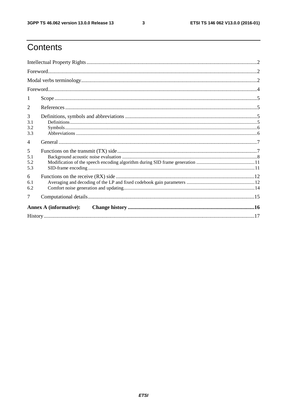$\mathbf{3}$ 

# Contents

| 1                             |  |  |  |  |
|-------------------------------|--|--|--|--|
| 2                             |  |  |  |  |
| 3<br>3.1<br>3.2<br>3.3        |  |  |  |  |
| $\overline{4}$                |  |  |  |  |
| 5<br>5.1<br>5.2<br>5.3        |  |  |  |  |
| 6<br>6.1<br>6.2               |  |  |  |  |
| 7                             |  |  |  |  |
| <b>Annex A (informative):</b> |  |  |  |  |
|                               |  |  |  |  |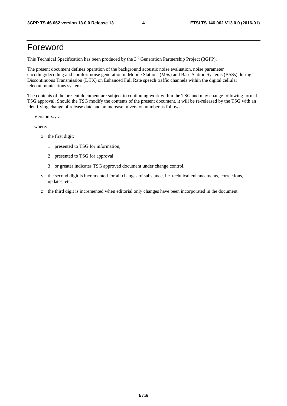### Foreword

This Technical Specification has been produced by the 3<sup>rd</sup> Generation Partnership Project (3GPP).

The present document defines operation of the background acoustic noise evaluation, noise parameter encoding/decoding and comfort noise generation in Mobile Stations (MSs) and Base Station Systems (BSSs) during Discontinuous Transmission (DTX) on Enhanced Full Rate speech traffic channels within the digital cellular telecommunications system.

The contents of the present document are subject to continuing work within the TSG and may change following formal TSG approval. Should the TSG modify the contents of the present document, it will be re-released by the TSG with an identifying change of release date and an increase in version number as follows:

Version x.y.z

where:

- x the first digit:
	- 1 presented to TSG for information;
	- 2 presented to TSG for approval;
	- 3 or greater indicates TSG approved document under change control.
- y the second digit is incremented for all changes of substance, i.e. technical enhancements, corrections, updates, etc.
- z the third digit is incremented when editorial only changes have been incorporated in the document.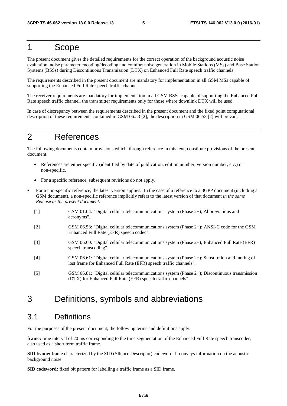## 1 Scope

The present document gives the detailed requirements for the correct operation of the background acoustic noise evaluation, noise parameter encoding/decoding and comfort noise generation in Mobile Stations (MSs) and Base Station Systems (BSSs) during Discontinuous Transmission (DTX) on Enhanced Full Rate speech traffic channels.

The requirements described in the present document are mandatory for implementation in all GSM MSs capable of supporting the Enhanced Full Rate speech traffic channel.

The receiver requirements are mandatory for implementation in all GSM BSSs capable of supporting the Enhanced Full Rate speech traffic channel, the transmitter requirements only for those where downlink DTX will be used.

In case of discrepancy between the requirements described in the present document and the fixed point computational description of these requirements contained in GSM 06.53 [2], the description in GSM 06.53 [2] will prevail.

### 2 References

The following documents contain provisions which, through reference in this text, constitute provisions of the present document.

- References are either specific (identified by date of publication, edition number, version number, etc.) or non-specific.
- For a specific reference, subsequent revisions do not apply.
- For a non-specific reference, the latest version applies. In the case of a reference to a 3GPP document (including a GSM document), a non-specific reference implicitly refers to the latest version of that document *in the same Release as the present document*.
	- [1] GSM 01.04: "Digital cellular telecommunications system (Phase 2+); Abbreviations and acronyms".
	- [2] GSM 06.53: "Digital cellular telecommunications system (Phase 2+); ANSI-C code for the GSM Enhanced Full Rate (EFR) speech codec".
	- [3] GSM 06.60: "Digital cellular telecommunications system (Phase 2+); Enhanced Full Rate (EFR) speech transcoding".
	- [4] GSM 06.61: "Digital cellular telecommunications system (Phase 2+); Substitution and muting of lost frame for Enhanced Full Rate (EFR) speech traffic channels".
	- [5] GSM 06.81: "Digital cellular telecommunications system (Phase 2+); Discontinuous transmission (DTX) for Enhanced Full Rate (EFR) speech traffic channels".

# 3 Definitions, symbols and abbreviations

#### 3.1 Definitions

For the purposes of the present document, the following terms and definitions apply:

**frame:** time interval of 20 ms corresponding to the time segmentation of the Enhanced Full Rate speech transcoder, also used as a short term traffic frame.

**SID frame:** frame characterized by the SID (SIlence Descriptor) codeword. It conveys information on the acoustic background noise.

**SID codeword:** fixed bit pattern for labelling a traffic frame as a SID frame.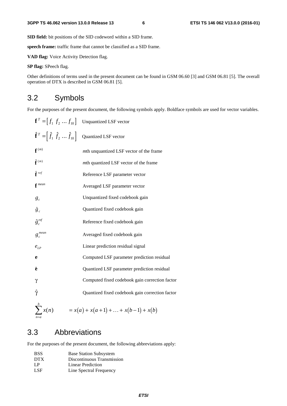**SID field:** bit positions of the SID codeword within a SID frame.

**speech frame:** traffic frame that cannot be classified as a SID frame.

**VAD flag:** Voice Activity Detection flag.

**SP flag:** SPeech flag.

Other definitions of terms used in the present document can be found in GSM 06.60 [3] and GSM 06.81 [5]. The overall operation of DTX is described in GSM 06.81 [5].

#### 3.2 Symbols

For the purposes of the present document, the following symbols apply. Boldface symbols are used for vector variables.

| ${\bf f}^T = [f_1 \, f_2 \,  \, f_{10}]$                                       | <b>Unquantized LSF</b> vector                   |
|--------------------------------------------------------------------------------|-------------------------------------------------|
| $\hat{\mathbf{f}}^T = \left[ \hat{f}_1 \ \hat{f}_2 \dots \hat{f}_{10} \right]$ | Quantized LSF vector                            |
| $f^{(m)}$                                                                      | mth unquantized LSF vector of the frame         |
| $\hat{\mathbf{f}}^{(m)}$                                                       | mth quantized LSF vector of the frame           |
| $\hat{\mathbf{f}}$ ref                                                         | Reference LSF parameter vector                  |
| $f^{mean}$                                                                     | Averaged LSF parameter vector                   |
| $g_c$                                                                          | Unquantized fixed codebook gain                 |
| $\hat{g}_c$                                                                    | Quantized fixed codebook gain                   |
| $\hat{g}^{ref}$                                                                | Reference fixed codebook gain                   |
| $g_c^{mean}$                                                                   | Averaged fixed codebook gain                    |
| $e_{LP}$                                                                       | Linear prediction residual signal               |
| e                                                                              | Computed LSF parameter prediction residual      |
| ê                                                                              | Quantized LSF parameter prediction residual     |
| $\gamma$                                                                       | Computed fixed codebook gain correction factor  |
| Ŷ                                                                              | Quantized fixed codebook gain correction factor |
| $\sum_{n=1}^{b} x(n)$                                                          | $= x(a) + x(a+1) +  + x(b-1) + x(b)$            |

#### 3.3 Abbreviations

For the purposes of the present document, the following abbreviations apply:

| <b>BSS</b> | <b>Base Station Subsystem</b> |
|------------|-------------------------------|
| <b>DTX</b> | Discontinuous Transmission    |
| LP         | Linear Prediction             |
| LSF.       | Line Spectral Frequency       |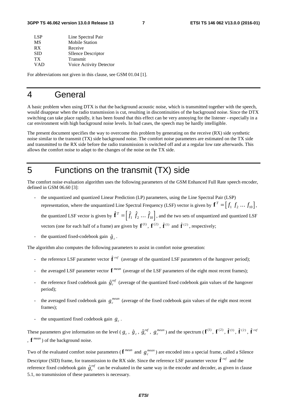| Line Spectral Pair        |
|---------------------------|
| <b>Mobile Station</b>     |
| Receive                   |
| <b>SIlence Descriptor</b> |
| Transmit                  |
| Voice Activity Detector   |
|                           |

For abbreviations not given in this clause, see GSM 01.04 [1].

### 4 General

A basic problem when using DTX is that the background acoustic noise, which is transmitted together with the speech, would disappear when the radio transmission is cut, resulting in discontinuities of the background noise. Since the DTX switching can take place rapidly, it has been found that this effect can be very annoying for the listener - especially in a car environment with high background noise levels. In bad cases, the speech may be hardly intelligible.

The present document specifies the way to overcome this problem by generating on the receive (RX) side synthetic noise similar to the transmit (TX) side background noise. The comfort noise parameters are estimated on the TX side and transmitted to the RX side before the radio transmission is switched off and at a regular low rate afterwards. This allows the comfort noise to adapt to the changes of the noise on the TX side.

### 5 Functions on the transmit (TX) side

The comfort noise evaluation algorithm uses the following parameters of the GSM Enhanced Full Rate speech encoder, defined in GSM 06.60 [3]:

- the unquantized and quantized Linear Prediction (LP) parameters, using the Line Spectral Pair (LSP) representation, where the unquantized Line Spectral Frequency (LSF) vector is given by  $\mathbf{f}^T = \begin{bmatrix} f_1 & f_2 & \dots & f_{10} \end{bmatrix}$ , the quantized LSF vector is given by  $\hat{\mathbf{f}}^T = \begin{bmatrix} \hat{f}_1 & \hat{f}_2 & \dots & \hat{f}_{10} \end{bmatrix}$ , and the two sets of unquantized and quantized LSF vectors (one for each half of a frame) are given by  $f^{(1)}$ ,  $f^{(2)}$ ,  $\hat{f}^{(1)}$  and  $\hat{f}^{(2)}$ , respectively; l<br>I  $\ddot{\phantom{0}}$
- the quantized fixed-codebook gain  $\hat{g}_c$ .  $\hat{\bm{\beta}}_c \cdot \text{par}$

The algorithm also computes the following parameters to assist in comfort noise generation:

- the reference LSF parameter vector  $\hat{\mathbf{f}}^{ref}$  (average of the quantized LSF parameters of the hangover period);
- 1<br>|<br>' the averaged LSF parameter vector  $f^{mean}$  (average of the LSF parameters of the eight most recent frames);
- the reference fixed codebook gain  $\hat{g}^{ref}_c$  (average of the quantized fixed codebook gain values of the hangover  $s_c$ <br> $s_c$ period);
- the averaged fixed codebook gain  $g_c^{mean}$  (average of the fixed codebook gain values of the eight most recent frames);
- the unquantized fixed codebook gain  $g_c$ .

These parameters give information on the level ( $g_c$ ,  $\hat{g}_c$ ,  $\hat{g}_c^{\text{ref}}$ ,  $g_c^{\text{mean}}$ ) and the spectrum ( $\mathbf{f}^{(1)}$ ,  $\mathbf{f}^{(2)}$ ,  $\hat{\mathbf{f}}^{(1)}$ ,  $\hat{\mathbf{f}}^{(2)}$ ,  $\hat{\mathbf{f}}^{ref}$ ,  $\mathbf{f}^{mean}$ ) of the background noise .<br>|<br>|  $\begin{bmatrix} 1 \\ 2 \end{bmatrix}$ .<br>.<br>. , **f** *mean* ) of the background noise.

Two of the evaluated comfort noise parameters ( $f^{mean}$  and  $g_c^{mean}$ ) are encoded into a special frame, called a Silence Descriptor (SID) frame, for transmission to the RX side. Since the reference LSF parameter vector **f** *ref* and the  $\frac{1}{s}$ reference fixed codebook gain  $\hat{g}^{ref}_c$  can be evaluated in the same way in the encoder and decoder, as given in clause \$*c* 5.1, no transmission of these parameters is necessary.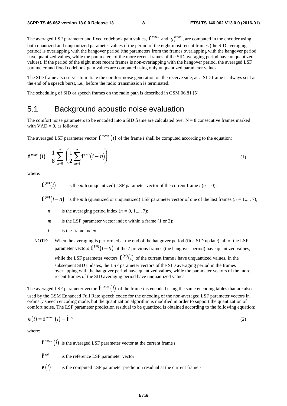The averaged LSF parameter and fixed codebook gain values,  $f^{mean}$  and  $g_c^{mean}$ , are computed in the encoder using both quantized and unquantized parameter values if the period of the eight most recent frames (the SID averaging period) is overlapping with the hangover period (the parameters from the frames overlapping with the hangover period have quantized values, while the parameters of the more recent frames of the SID averaging period have unquantized values). If the period of the eight most recent frames is non-overlapping with the hangover period, the averaged LSF parameter and fixed codebook gain values are computed using only unquantized parameter values.

The SID frame also serves to initiate the comfort noise generation on the receive side, as a SID frame is always sent at the end of a speech burst, i.e., before the radio transmission is terminated.

The scheduling of SID or speech frames on the radio path is described in GSM 06.81 [5].

#### 5.1 Background acoustic noise evaluation

The comfort noise parameters to be encoded into a SID frame are calculated over  $N = 8$  consecutive frames marked with  $VAD = 0$ , as follows:

The averaged LSF parameter vector  $\mathbf{f}^{mean}(i)$  of the frame *i* shall be computed according to the equation:

$$
\mathbf{f}^{mean}(i) = \frac{1}{8} \sum_{n=0}^{7} \left( \frac{1}{2} \sum_{m=1}^{2} \mathbf{f}^{(m)}(i-n) \right)
$$
(1)

where:

 $\mathbf{f}^{(m)}(i)$  is the *m*th (unquantized) LSF parameter vector of the current frame *i* (*n* = 0);

 $f^{(m)}(i-n)$  is the *m*th (quantized or unquantized) LSF parameter vector of one of the last frames (*n* = 1,..., 7);

*n* is the averaging period index  $(n = 0, 1, \ldots, 7)$ ;

*m* is the LSF parameter vector index within a frame (1 or 2);

- *i* is the frame index.
- NOTE: When the averaging is performed at the end of the hangover period (first SID update), all of the LSF parameter vectors  $f^{(m)}(i-n)$  of the 7 previous frames (the hangover period) have quantized values, while the LSF parameter vectors  $f^{(m)}(i)$  of the current frame *i* have unquantized values. In the subsequent SID updates, the LSF parameter vectors of the SID averaging period in the frames overlapping with the hangover period have quantized values, while the parameter vectors of the more recent frames of the SID averaging period have unquantized values.

The averaged LSF parameter vector  $f^{mean}(i)$  of the frame *i* is encoded using the same encoding tables that are also used by the GSM Enhanced Full Rate speech codec for the encoding of the non-averaged LSF parameter vectors in ordinary speech encoding mode, but the quantization algorithm is modified in order to support the quantization of comfort noise. The LSF parameter prediction residual to be quantized is obtained according to the following equation:

$$
\mathbf{e}(i) = \mathbf{f}^{mean}(i) - \hat{\mathbf{f}}^{ref}
$$
\n(2)

\nwhere:

\n
$$
\mathbf{f}^{mean}(i)
$$
 is the average of S. For a number vector at the current frame *i*.

where:

 ${\bf f}^{mean} (i)$  is the averaged LSF parameter vector at the current frame *i* 

- $\hat{\mathbf{f}}^{\text{ref}}$  is the reference LSF parameter vector
- l<br>e  $\mathbf{e}(i)$  is the computed LSF parameter prediction residual at the current frame *i*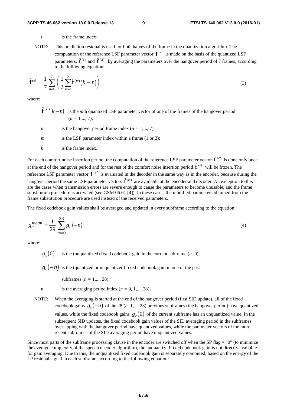- *i* is the frame index:
- NOTE: This prediction residual is used for both halves of the frame in the quantization algorithm. The computation of the reference LSF parameter vector **f** *ref* is made on the basis of the quantized LSF  $\frac{1}{16}$ parameters,  $\hat{\mathbf{f}}^{(1)}$  and  $\hat{\mathbf{f}}^{(2)}$ , by averaging the parameters over the hangover period of 7 frames, according to the following equation:

parameters, 
$$
\mathbf{f}^{(1)}
$$
 and  $\mathbf{f}^{(2)}$ , by averaging the parameters over the hangover period of 7 frames, accord to the following equation:\n
$$
\hat{\mathbf{f}}^{ref} = \frac{1}{7} \sum_{n=1}^{7} \left( \frac{1}{2} \sum_{m=1}^{2} \hat{\mathbf{f}}^{(m)}(k-n) \right)
$$
\n(3)

where:

- $\hat{\mathbf{f}}^{(m)}(k n)$  is the *m*th quantized LSF parameter vector of one of the frames of the hangover period  $\frac{1}{2}$  $(n = 1, \ldots, 7);$
- *n* is the hangover period frame index  $(n = 1, ..., 7)$ ;
- *m* is the LSF parameter index within a frame (1 or 2);
- *k* is the frame index.

For each comfort noise insertion period, the computation of the reference LSF parameter vector **f** *ref* is done only once  $\begin{array}{c} \mathbf{b} \\ \mathbf{c} \\ \mathbf{A} \end{array}$ at the end of the hangover period and for the rest of the comfort noise insertion period **f** *ref* will be frozen. The  $\frac{1}{x}$ reference LSF parameter vector **f** *ref* is evaluated in the decoder in the same way as in the encoder, because during the  $\begin{bmatrix} 1 \\ 2 \\ 3 \end{bmatrix}$ hangover period the same LSF parameter vectors  $\hat{\mathbf{f}}^{(m)}$  are available at the encoder and decoder. An exception to this |<br>|}<br>|{ are the cases when transmission errors are severe enough to cause the parameters to become unusable, and the frame substitution procedure is activated (see GSM 06.61 [4]). In these cases, the modified parameters obtained from the frame substitution procedure are used instead of the received parameters.

The fixed codebook gain values shall be averaged and updated in every subframe according to the equation:

$$
g_c^{mean} = \frac{1}{29} \sum_{n=0}^{28} g_c(-n)
$$
 (4)

where:

- $g<sub>a</sub>(0)$  is the (unquantized) fixed codebook gain in the current subframe (*n*=0);
- $g_c(-n)$  is the (quantized or unquantized) fixed codebook gain in one of the past
	- subframes (*n =* 1,..., 28);
- *n* is the averaging period index  $(n = 0, 1, \ldots, 28)$ ;
- NOTE: When the averaging is started at the end of the hangover period (first SID update), all of the fixed codebook gains  $g_c(-n)$  of the 28 (*n*=1,..., 28) previous subframes (the hangover period) have quantized values, while the fixed codebook gains  $g_c(0)$  of the current subframe has an unquantized value. In the subsequent SID updates, the fixed codebook gain values of the SID averaging period in the subframes overlapping with the hangover period have quantized values, while the parameter vectors of the more recent subframes of the SID averaging period have unquantized values.

Since most parts of the subframe processing clause in the encoder are switched off when the SP flag  $=$  "0" (to minimize the average complexity of the speech encoder algorithm), the unquantized fixed codebook gain is not directly available for gain averaging. Due to this, the unquantized fixed codebook gain is separately computed, based on the energy of the LP residual signal in each subframe, according to the following equation: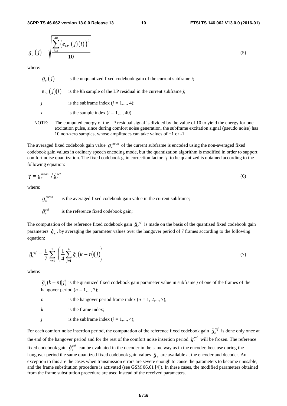**3GPP TS 46.062 version 13.0.0 Release 13 10 ETSI TS 146 062 V13.0.0 (2016-01)**

$$
g_c(j) = \sqrt{\frac{\sum_{l=1}^{40} (e_{LP}(j)(l))^2}{10}}
$$
 (5)

where:

 $g_e(i)$  is the unquantized fixed codebook gain of the current subframe *j*;  $e_{i,p}(j)(l)$  is the *l*th sample of the LP residual in the current subframe *j*;

*j* is the subframe index  $(j = 1, ..., 4)$ ;

*l* is the sample index  $(l = 1, ..., 40)$ .

NOTE: The computed energy of the LP residual signal is divided by the value of 10 to yield the energy for one excitation pulse, since during comfort noise generation, the subframe excitation signal (pseudo noise) has 10 non-zero samples, whose amplitudes can take values of +1 or -1.

The averaged fixed codebook gain value  $g_c^{mean}$  of the current subframe is encoded using the non-averaged fixed codebook gain values in ordinary speech encoding mode, but the quantization algorithm is modified in order to support comfort noise quantization. The fixed codebook gain correction factor  $\gamma$  to be quantized is obtained according to the following equation:

$$
\gamma = g_c^{mean} / \hat{g}_c^{ref}
$$
\n(6)

\nwhere:

\n
$$
g_c^{mean}
$$
 is the averaged fixed codebook gain value in the current subframe;

where:

 $g_c^{mean}$ 

 $\hat{g}^{ref}$ is the reference fixed codebook gain;

\$*c* The computation of the reference fixed codebook gain  $\hat{g}^{ref}_c$  is made on the basis of the quantized fixed codebook gain  $\frac{5}{c}$ <br>th parameters  $\hat{g}_c$ , by averaging the parameter values over the hangover period of 7 frames according to the following equation:<br>  $\hat{g}^{ref} = \frac{1}{2} \sum_{i=1}^{7} \left( \frac{1}{2} \sum_{i=1}^{4} \hat{g}_i (k - n)(i) \right)$  (7) equation:

$$
\hat{g}_c^{ref} = \frac{1}{7} \sum_{n=1}^{7} \left( \frac{1}{4} \sum_{j=1}^{4} \hat{g}_c (k - n)(j) \right)
$$
\nwhere:

\n(7)

where:

 $\hat{g}_c (k - n)(j)$  is the quantized fixed codebook gain parameter value in subframe *j* of one of the frames of the hangover period (*n* = 1,..., 7);<br>
is the hangover period frame index (*n* = 1, 2,..., 7); hangover period  $(n = 1, \ldots, 7)$ ;

- *n* is the hangover period frame index  $(n = 1, 2,..., 7)$ ;
- *k* is the frame index;
- *j* is the subframe index  $(j = 1, ..., 4)$ ;

For each comfort noise insertion period, the computation of the reference fixed codebook gain  $\hat{g}^{ref}_c$  is done only once at \$*c* the end of the hangover period and for the rest of the comfort noise insertion period  $\hat{g}^{ref}_c$  will be frozen. The reference 5 c<br>eno<br>the fixed codebook gain  $\hat{g}^{ref}_c$  can be evaluated in the decoder in the same way as in the encoder, because during the \$*c* hangover period the same quantized fixed codebook gain values  $\hat{g}_c$  are available at the encoder and decoder. An exception to this are the cases when transmission errors are severe enough to cause the parameters to bec exception to this are the cases when transmission errors are severe enough to cause the parameters to become unusable, and the frame substitution procedure is activated (see GSM 06.61 [4]). In these cases, the modified parameters obtained from the frame substitution procedure are used instead of the received parameters.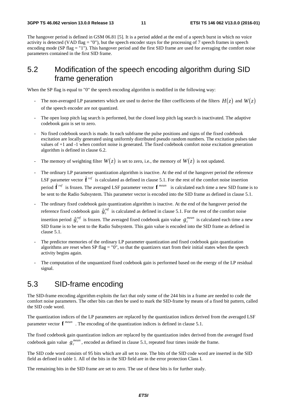The hangover period is defined in GSM 06.81 [5]. It is a period added at the end of a speech burst in which no voice activity is detected (VAD flag = "0"), but the speech encoder stays for the processing of 7 speech frames in speech encoding mode (SP flag  $=$  "1"). This hangover period and the first SID frame are used for averaging the comfort noise parameters contained in the first SID frame.

### 5.2 Modification of the speech encoding algorithm during SID frame generation

When the SP flag is equal to "0" the speech encoding algorithm is modified in the following way:

- The non-averaged LP parameters which are used to derive the filter coefficients of the filters  $H(z)$  and  $W(z)$ of the speech encoder are not quantized.
- The open loop pitch lag search is performed, but the closed loop pitch lag search is inactivated. The adaptive codebook gain is set to zero.
- No fixed codebook search is made. In each subframe the pulse positions and signs of the fixed codebook excitation are locally generated using uniformly distributed pseudo random numbers. The excitation pulses take values of +1 and -1 when comfort noise is generated. The fixed codebook comfort noise excitation generation algorithm is defined in clause 6.2.
- The memory of weighting filter  $W(z)$  is set to zero, i.e., the memory of  $W(z)$  is not updated.
- The ordinary LP parameter quantization algorithm is inactive. At the end of the hangover period the reference LSF parameter vector  $\hat{\mathbf{f}}^{ref}$  is calculated as defined in clause 5.1. For the rest of the comfort noise insertion  $\frac{1}{2}$ period **f** *ref* is frozen. The averaged LSF parameter vector **f** *mean* is calculated each time a new SID frame is to  $\frac{1}{1}$ be sent to the Radio Subsystem. This parameter vector is encoded into the SID frame as defined in clause 5.1.
- The ordinary fixed codebook gain quantization algorithm is inactive. At the end of the hangover period the reference fixed codebook gain  $\hat{g}^{ref}_c$  is calculated as defined in clause 5.1. For the rest of the comfort noise \$*c* insertion period  $\hat{g}_c^{ref}$  is frozen. The averaged fixed codebook gain value  $g_c^{mean}$  is calculated each time a new \$ *c* SID frame is to be sent to the Radio Subsystem. This gain value is encoded into the SID frame as defined in clause 5.1.
- The predictor memories of the ordinary LP parameter quantization and fixed codebook gain quantization algorithms are reset when SP flag =  $"0"$ , so that the quantizers start from their initial states when the speech activity begins again.
- The computation of the unquantized fixed codebook gain is performed based on the energy of the LP residual signal.

### 5.3 SID-frame encoding

The SID-frame encoding algorithm exploits the fact that only some of the 244 bits in a frame are needed to code the comfort noise parameters. The other bits can then be used to mark the SID-frame by means of a fixed bit pattern, called the SID code word.

The quantization indices of the LP parameters are replaced by the quantization indices derived from the averaged LSF parameter vector **f** *mean* . The encoding of the quantization indices is defined in clause 5.1.

The fixed codebook gain quantization indices are replaced by the quantization index derived from the averaged fixed codebook gain value  $g_c^{mean}$ , encoded as defined in clause 5.1, repeated four times inside the frame.

The SID code word consists of 95 bits which are all set to one. The bits of the SID code word are inserted in the SID field as defined in table 1. All of the bits in the SID field are in the error protection Class I.

The remaining bits in the SID frame are set to zero. The use of these bits is for further study.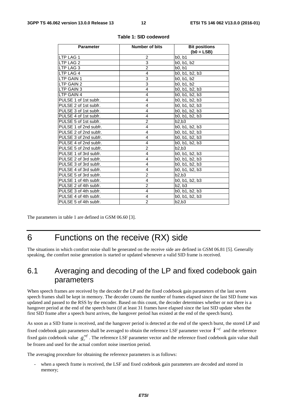| <b>Parameter</b>      | <b>Number of bits</b> | <b>Bit positions</b> |
|-----------------------|-----------------------|----------------------|
|                       |                       | $(b0 = LSB)$         |
| <b>LTP LAG 1</b>      | 2                     | b0, b1               |
| LTP LAG 2             | 3                     | b0, b1, b2           |
| <b>LTP LAG 3</b>      | $\overline{c}$        | b0, b1               |
| LTP LAG 4             | $\overline{4}$        | b0, b1, b2, b3       |
| lLTP GAIN 1           | 3                     | b0, b1, b2           |
| <b>LTP GAIN 2</b>     | 3                     | b0, b1, b2           |
| <b>ILTP GAIN 3</b>    | 4                     | b0, b1, b2, b3       |
| LTP GAIN 4            | $\overline{4}$        | b0, b1, b2, b3       |
| PULSE 1 of 1st subfr. | 4                     | b0, b1, b2, b3       |
| PULSE 2 of 1st subfr. | 4                     | b0, b1, b2, b3       |
| PULSE 3 of 1st subfr. | 4                     | b0, b1, b2, b3       |
| PULSE 4 of 1st subfr. | 4                     | b0, b1, b2, b3       |
| PULSE 5 of 1st subfr. | $\overline{2}$        | b2.b3                |
| PULSE 1 of 2nd subfr. | 4                     | b0, b1, b2, b3       |
| PULSE 2 of 2nd subfr. | 4                     | b0, b1, b2, b3       |
| PULSE 3 of 2nd subfr. | 4                     | b0, b1, b2, b3       |
| PULSE 4 of 2nd subfr. | $\overline{4}$        | b0, b1, b2, b3       |
| PULSE 5 of 2nd subfr. | $\overline{2}$        | b2,b3                |
| PULSE 1 of 3rd subfr. | 4                     | b0, b1, b2, b3       |
| PULSE 2 of 3rd subfr. | 4                     | b0, b1, b2, b3       |
| PULSE 3 of 3rd subfr. | 4                     | b0, b1, b2, b3       |
| PULSE 4 of 3rd subfr. | 4                     | b0, b1, b2, b3       |
| PULSE 5 of 3rd subfr. | $\overline{c}$        | b2,b3                |
| PULSE 1 of 4th subfr. | 4                     | b0, b1, b2, b3       |
| PULSE 2 of 4th subfr. | $\overline{2}$        | b2. b3               |
| PULSE 3 of 4th subfr. | 4                     | b0, b1, b2, b3       |
| PULSE 4 of 4th subfr. | 4                     | b0, b1, b2, b3       |
| PULSE 5 of 4th subfr. | $\overline{2}$        | b2.b3                |

#### **Table 1: SID codeword**

The parameters in table 1 are defined in GSM 06.60 [3].

# 6 Functions on the receive (RX) side

The situations in which comfort noise shall be generated on the receive side are defined in GSM 06.81 [5]. Generally speaking, the comfort noise generation is started or updated whenever a valid SID frame is received.

#### 6.1 Averaging and decoding of the LP and fixed codebook gain parameters

When speech frames are received by the decoder the LP and the fixed codebook gain parameters of the last seven speech frames shall be kept in memory. The decoder counts the number of frames elapsed since the last SID frame was updated and passed to the RSS by the encoder. Based on this count, the decoder determines whether or not there is a hangover period at the end of the speech burst (if at least 31 frames have elapsed since the last SID update when the first SID frame after a speech burst arrives, the hangover period has existed at the end of the speech burst).

As soon as a SID frame is received, and the hangover period is detected at the end of the speech burst, the stored LP and fixed codebook gain parameters shall be averaged to obtain the reference LSF parameter vector **f** *ref* and the reference  $\frac{1}{3}$ fixed gain codebook value  $g_c^{ref}$ . The reference LSF parameter vector and the reference fixed codebook gain value shall be frozen and used for the actual comfort noise insertion period.

The averaging procedure for obtaining the reference parameters is as follows:

when a speech frame is received, the LSF and fixed codebook gain parameters are decoded and stored in memory;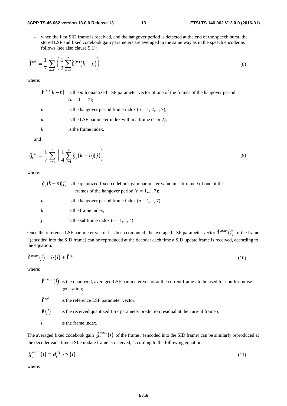#### **3GPP TS 46.062 version 13.0.0 Release 13 13 ETSI TS 146 062 V13.0.0 (2016-01)**

when the first SID frame is received, and the hangover period is detected at the end of the speech burst, the stored LSF and fixed codebook gain parameters are averaged in the same way as in the speech encoder as follows (see also clause 5.1):

stored LSF and fixed codebook gain parameters are averaged in the same way as in the speech encoder as follows (see also clause 5.1):  
\n
$$
\hat{\mathbf{f}}^{ref} = \frac{1}{7} \sum_{n=1}^{7} \left( \frac{1}{2} \sum_{m=1}^{2} \hat{\mathbf{f}}^{(m)}(k - n) \right)
$$
\n(8)

where:

- $\hat{\mathbf{f}}^{(m)}(k-n)$  is the *m*th quantized LSF parameter vector of one of the frames of the hangover period  $\frac{1}{i}$  $(n = 1, \ldots, 7)$ ; *n* is the hangover period frame index  $(n = 1, 2, \ldots, 7)$ ;
- *m* is the LSF parameter index within a frame (1 or 2);

*k* is the frame index.

and

$$
\hat{g}_c^{ref} = \frac{1}{7} \sum_{n=1}^{7} \left( \frac{1}{4} \sum_{j=1}^{4} \hat{g}_c (k - n)(j) \right)
$$
\n(9)

\nwhere:

where:

- $\hat{g}_c (k n)(j)$  is the quantized fixed codebook gain parameter value in subframe *j* of one of the frames of the hangover period  $(n = 1,..., 7)$ ; is the hangover period frame index  $(n = 1,..., 7)$ ; frames of the hangover period ( $n = 1,..., 7$ );
- *n* is the hangover period frame index  $(n = 1, \ldots, 7)$ ; *k* is the frame index; *j* is the subframe index  $(j = 1, ..., 4)$ .

Once the reference LSF parameter vector has been computed, the averaged LSF parameter vector  $\hat{\bf f}^{mean}(i)$  of the frame  $\frac{1}{2}$ *i* (encoded into the SID frame) can be reproduced at the decoder each time a SID update frame is received, according to the equation:

$$
\hat{\mathbf{f}}^{mean}(i) = \hat{\mathbf{e}}(i) + \hat{\mathbf{f}}^{ref}
$$
\n(10)  
\nwhere:  
\n
$$
\hat{\mathbf{f}}^{mean}(i)
$$
 is the quantized, averaged LSF parameter vector at the current frame *i* to be used for comfort noise

where:

ı<br>Î generation;

 $\hat{\mathbf{f}}^{\text{ref}}$  is the reference LSF parameter vector:

l<br>ê  $\hat{\mathbf{e}}(i)$ 

*i* is the frame index.

 $\hat{\mathbf{e}}(i)$  is the received quantized LSF parameter prediction residual at the current frame *i*;<br> *i* is the frame index.<br>
The averaged fixed codebook gain  $\hat{g}_c^{mean}(i)$  of the frame *i* (encoded into the SID frame) ca the decoder each time a SID update frame is received, according to the following equation: The averaged fixed code<br>
the decoder each time a S<br>  $\hat{g}_c^{mean}(i) = \hat{g}_c^{ref} \cdot \hat{\gamma}(i)$ 

$$
\hat{g}_c^{\text{mean}}(i) = \hat{g}_c^{\text{ref}} \cdot \hat{\gamma}(i) \tag{11}
$$

where: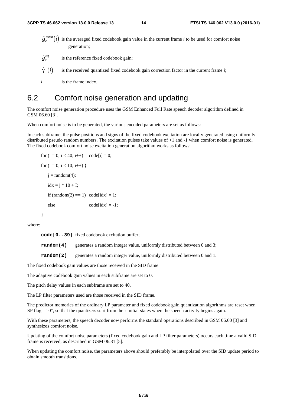- $\hat{g}_c^{mean}(i)$  is the averaged fixed codebook gain value in the current frame *i* to be used for comfort noise generation;
- $\hat{g}^{ref}_c$ is the reference fixed codebook gain;
- \$*c*  $\hat{\gamma}$   $(i)$  $\hat{\gamma}$  (*i*) is the received quantized fixed codebook gain correction factor in the current frame *i*;<br>*i* is the frame index.

*i* is the frame index.

#### 6.2 Comfort noise generation and updating

The comfort noise generation procedure uses the GSM Enhanced Full Rate speech decoder algorithm defined in GSM 06.60 [3].

When comfort noise is to be generated, the various encoded parameters are set as follows:

In each subframe, the pulse positions and signs of the fixed codebook excitation are locally generated using uniformly distributed pseudo random numbers. The excitation pulses take values of +1 and -1 when comfort noise is generated. The fixed codebook comfort noise excitation generation algorithm works as follows:

```
for (i = 0; i < 40; i++) code[i] = 0;
for (i = 0; i < 10; i++) {
   i = \text{random}(4);
   idx = j * 10 + I;if (random(2) == 1) code[idx] = 1;
   else code[idx] = -1;
```
}

where:

**code[0..39]** fixed codebook excitation buffer;

**random(4)** generates a random integer value, uniformly distributed between 0 and 3;

**random(2)** generates a random integer value, uniformly distributed between 0 and 1.

The fixed codebook gain values are those received in the SID frame.

The adaptive codebook gain values in each subframe are set to 0.

The pitch delay values in each subframe are set to 40.

The LP filter parameters used are those received in the SID frame.

The predictor memories of the ordinary LP parameter and fixed codebook gain quantization algorithms are reset when SP flag  $=$  "0", so that the quantizers start from their initial states when the speech activity begins again.

With these parameters, the speech decoder now performs the standard operations described in GSM 06.60 [3] and synthesizes comfort noise.

Updating of the comfort noise parameters (fixed codebook gain and LP filter parameters) occurs each time a valid SID frame is received, as described in GSM 06.81 [5].

When updating the comfort noise, the parameters above should preferably be interpolated over the SID update period to obtain smooth transitions.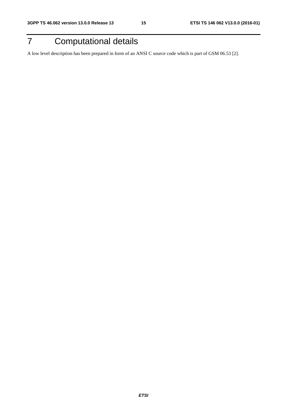# 7 Computational details

A low level description has been prepared in form of an ANSI C source code which is part of GSM 06.53 [2].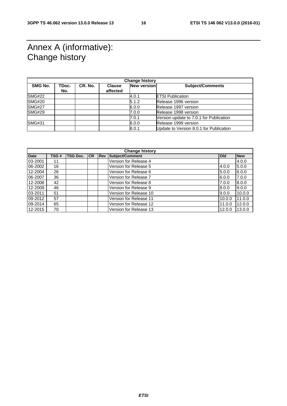# Annex A (informative): Change history

| <b>Change history</b> |              |         |                           |                    |                                         |
|-----------------------|--------------|---------|---------------------------|--------------------|-----------------------------------------|
| <b>SMG No.</b>        | TDoc.<br>No. | CR. No. | <b>Clause</b><br>affected | <b>New version</b> | <b>Subject/Comments</b>                 |
| <b>SMG#22</b>         |              |         |                           | 4.0.1              | <b>ETSI Publication</b>                 |
| <b>SMG#20</b>         |              |         |                           | 5.1.2              | Release 1996 version                    |
| <b>SMG#27</b>         |              |         |                           | 6.0.0              | Release 1997 version                    |
| <b>SMG#29</b>         |              |         |                           | 7.0.0              | Release 1998 version                    |
|                       |              |         |                           | 7.0.1              | Version update to 7.0.1 for Publication |
| <b>SMG#31</b>         |              |         |                           | 8.0.0              | Release 1999 version                    |
|                       |              |         |                           | 8.0.1              | Update to Version 8.0.1 for Publication |
|                       |              |         |                           |                    |                                         |

| <b>Change history</b> |      |          |    |            |                        |            |            |
|-----------------------|------|----------|----|------------|------------------------|------------|------------|
| <b>Date</b>           | TSG# | TSG Doc. | CR | <b>Rev</b> | Subject/Comment        | <b>Old</b> | <b>New</b> |
| 03-2001               | 11   |          |    |            | Version for Release 4  |            | 4.0.0      |
| 06-2002               | 16   |          |    |            | Version for Release 5  | 4.0.0      | 5.0.0      |
| 12-2004               | 26   |          |    |            | Version for Release 6  | 5.0.0      | 6.0.0      |
| 06-2007               | 36   |          |    |            | Version for Release 7  | 6.0.0      | 7.0.0      |
| 12-2008               | 42   |          |    |            | Version for Release 8  | 7.0.0      | 8.0.0      |
| 12-2009               | 46   |          |    |            | Version for Release 9  | 8.0.0      | 9.0.0      |
| 03-2011               | 51   |          |    |            | Version for Release 10 | 9.0.0      | 10.0.0     |
| 09-2012               | 57   |          |    |            | Version for Release 11 | 10.0.0     | 11.0.0     |
| 09-2014               | 65   |          |    |            | Version for Release 12 | 11.0.0     | 12.0.0     |
| 12-2015               | 70   |          |    |            | Version for Release 13 | 12.0.0     | 13.0.0     |